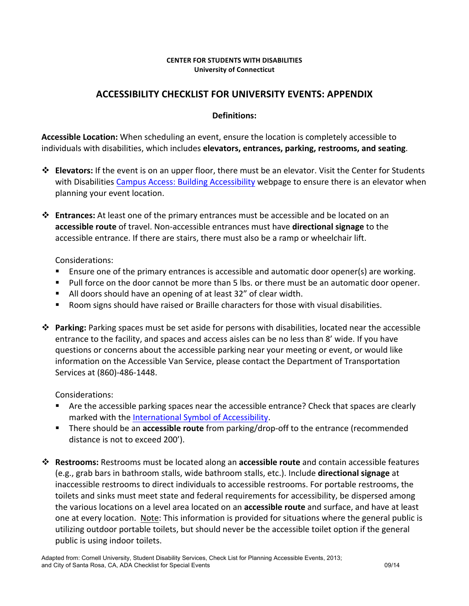## **CENTER FOR STUDENTS WITH DISABILITIES University of Connecticut**

## **ACCESSIBILITY CHECKLIST FOR UNIVERSITY EVENTS: APPENDIX**

## **Definitions:**

**Accessible Location:** When scheduling an event, ensure the location is completely accessible to individuals with disabilities, which includes elevators, entrances, parking, restrooms, and seating.

- **\*** Elevators: If the event is on an upper floor, there must be an elevator. Visit the Center for Students with Disabilities Campus Access: Building Accessibility webpage to ensure there is an elevator when planning your event location.
- **→ Entrances:** At least one of the primary entrances must be accessible and be located on an accessible route of travel. Non-accessible entrances must have directional signage to the accessible entrance. If there are stairs, there must also be a ramp or wheelchair lift.

Considerations:

- Ensure one of the primary entrances is accessible and automatic door opener(s) are working.
- Pull force on the door cannot be more than 5 lbs. or there must be an automatic door opener.
- $\blacksquare$  All doors should have an opening of at least 32" of clear width.
- Room signs should have raised or Braille characters for those with visual disabilities.
- \* Parking: Parking spaces must be set aside for persons with disabilities, located near the accessible entrance to the facility, and spaces and access aisles can be no less than 8' wide. If you have questions or concerns about the accessible parking near your meeting or event, or would like information on the Accessible Van Service, please contact the Department of Transportation Services at (860)-486-1448.

Considerations:

- Are the accessible parking spaces near the accessible entrance? Check that spaces are clearly marked with the International Symbol of Accessibility.
- **F** There should be an **accessible route** from parking/drop-off to the entrance (recommended distance is not to exceed 200').
- $\dots$  **Restrooms:** Restrooms must be located along an **accessible route** and contain accessible features (e.g., grab bars in bathroom stalls, wide bathroom stalls, etc.). Include **directional signage** at inaccessible restrooms to direct individuals to accessible restrooms. For portable restrooms, the toilets and sinks must meet state and federal requirements for accessibility, be dispersed among the various locations on a level area located on an **accessible route** and surface, and have at least one at every location. Note: This information is provided for situations where the general public is utilizing outdoor portable toilets, but should never be the accessible toilet option if the general public is using indoor toilets.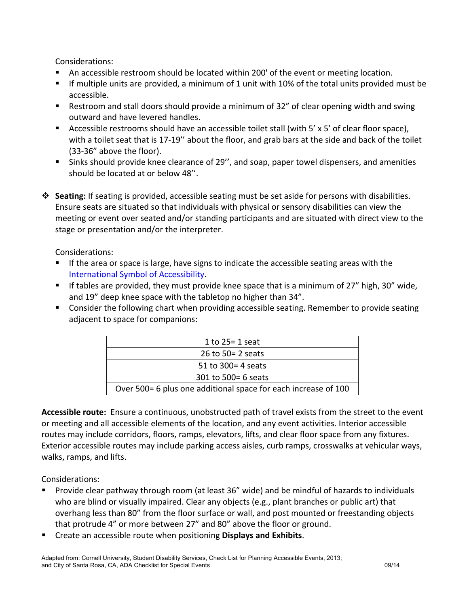Considerations:

- An accessible restroom should be located within 200' of the event or meeting location.
- **•** If multiple units are provided, a minimum of 1 unit with 10% of the total units provided must be accessible.
- Restroom and stall doors should provide a minimum of 32" of clear opening width and swing outward and have levered handles.
- E Accessible restrooms should have an accessible toilet stall (with  $5' \times 5'$  of clear floor space), with a toilet seat that is 17-19" about the floor, and grab bars at the side and back of the toilet (33-36" above the floor).
- Sinks should provide knee clearance of 29", and soap, paper towel dispensers, and amenities should be located at or below 48".
- **→** Seating: If seating is provided, accessible seating must be set aside for persons with disabilities. Ensure seats are situated so that individuals with physical or sensory disabilities can view the meeting or event over seated and/or standing participants and are situated with direct view to the stage or presentation and/or the interpreter.

Considerations:

- If the area or space is large, have signs to indicate the accessible seating areas with the International Symbol of Accessibility.
- **F** If tables are provided, they must provide knee space that is a minimum of 27" high, 30" wide, and 19" deep knee space with the tabletop no higher than 34".
- Consider the following chart when providing accessible seating. Remember to provide seating adjacent to space for companions:

Accessible route: Ensure a continuous, unobstructed path of travel exists from the street to the event or meeting and all accessible elements of the location, and any event activities. Interior accessible routes may include corridors, floors, ramps, elevators, lifts, and clear floor space from any fixtures. Exterior accessible routes may include parking access aisles, curb ramps, crosswalks at vehicular ways, walks, ramps, and lifts.

Considerations:

- Provide clear pathway through room (at least 36" wide) and be mindful of hazards to individuals who are blind or visually impaired. Clear any objects (e.g., plant branches or public art) that overhang less than 80" from the floor surface or wall, and post mounted or freestanding objects that protrude 4" or more between 27" and 80" above the floor or ground.
- Create an accessible route when positioning **Displays and Exhibits**.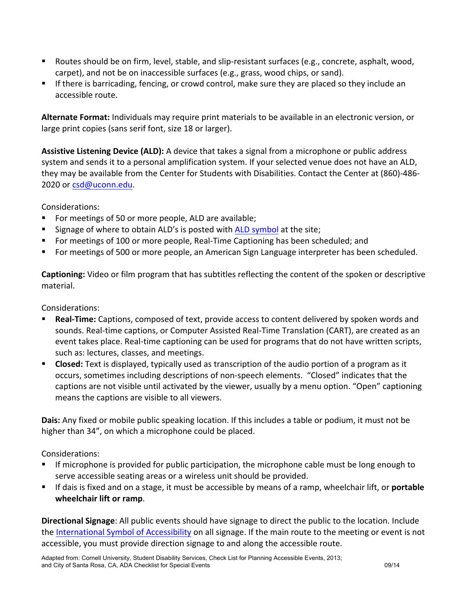- Routes should be on firm, level, stable, and slip-resistant surfaces (e.g., concrete, asphalt, wood, carpet), and not be on inaccessible surfaces (e.g., grass, wood chips, or sand).
- **EXPLUM** If there is barricading, fencing, or crowd control, make sure they are placed so they include an accessible route.

Alternate Format: Individuals may require print materials to be available in an electronic version, or large print copies (sans serif font, size 18 or larger).

Assistive Listening Device (ALD): A device that takes a signal from a microphone or public address system and sends it to a personal amplification system. If your selected venue does not have an ALD, they may be available from the Center for Students with Disabilities. Contact the Center at (860)-486-2020 or csd@uconn.edu.

Considerations:

- For meetings of 50 or more people, ALD are available;
- Signage of where to obtain ALD's is posted with ALD symbol at the site;
- For meetings of 100 or more people, Real-Time Captioning has been scheduled; and
- For meetings of 500 or more people, an American Sign Language interpreter has been scheduled.

**Captioning:** Video or film program that has subtitles reflecting the content of the spoken or descriptive material.

Considerations:

- **Real-Time:** Captions, composed of text, provide access to content delivered by spoken words and sounds. Real-time captions, or Computer Assisted Real-Time Translation (CART), are created as an event takes place. Real-time captioning can be used for programs that do not have written scripts, such as: lectures, classes, and meetings.
- **Example 1** Closed: Text is displayed, typically used as transcription of the audio portion of a program as it occurs, sometimes including descriptions of non-speech elements. "Closed" indicates that the captions are not visible until activated by the viewer, usually by a menu option. "Open" captioning means the captions are visible to all viewers.

**Dais:** Any fixed or mobile public speaking location. If this includes a table or podium, it must not be higher than 34", on which a microphone could be placed.

Considerations:

- If microphone is provided for public participation, the microphone cable must be long enough to serve accessible seating areas or a wireless unit should be provided.
- **EXEC** If dais is fixed and on a stage, it must be accessible by means of a ramp, wheelchair lift, or **portable wheelchair lift or ramp**.

**Directional Signage**: All public events should have signage to direct the public to the location. Include the International Symbol of Accessibility on all signage. If the main route to the meeting or event is not accessible, you must provide direction signage to and along the accessible route.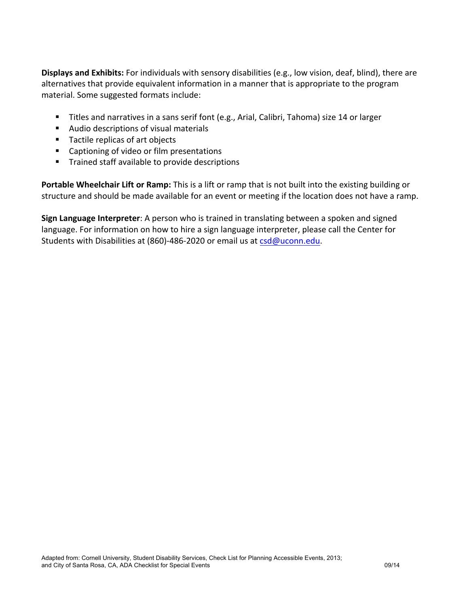**Displays and Exhibits:** For individuals with sensory disabilities (e.g., low vision, deaf, blind), there are alternatives that provide equivalent information in a manner that is appropriate to the program material. Some suggested formats include:

- Titles and narratives in a sans serif font (e.g., Arial, Calibri, Tahoma) size 14 or larger
- Audio descriptions of visual materials
- Tactile replicas of art objects
- Captioning of video or film presentations
- Trained staff available to provide descriptions

**Portable Wheelchair Lift or Ramp:** This is a lift or ramp that is not built into the existing building or structure and should be made available for an event or meeting if the location does not have a ramp.

**Sign Language Interpreter**: A person who is trained in translating between a spoken and signed language. For information on how to hire a sign language interpreter, please call the Center for Students with Disabilities at (860)-486-2020 or email us at  $csd@uconn.edu$ .